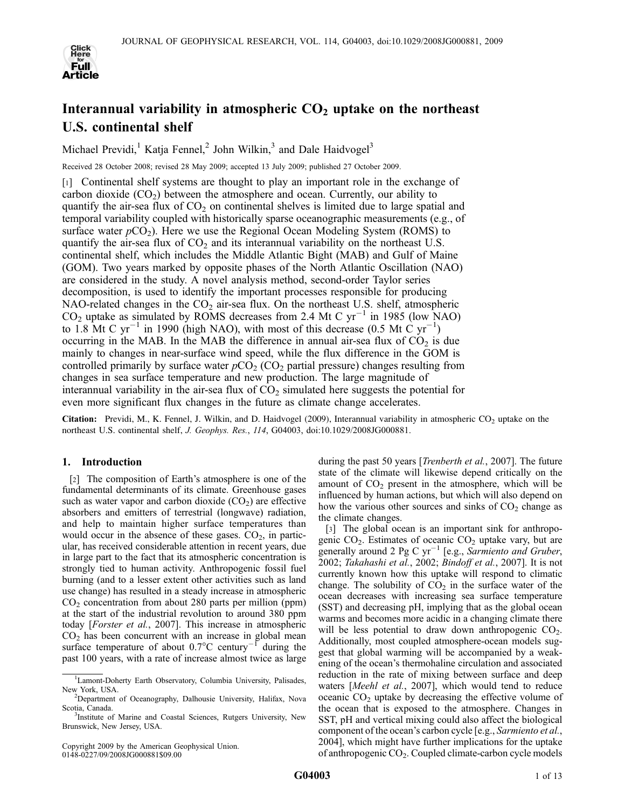

# Interannual variability in atmospheric  $CO<sub>2</sub>$  uptake on the northeast U.S. continental shelf

Michael Previdi,<sup>1</sup> Katja Fennel,<sup>2</sup> John Wilkin,<sup>3</sup> and Dale Haidvogel<sup>3</sup>

Received 28 October 2008; revised 28 May 2009; accepted 13 July 2009; published 27 October 2009.

[1] Continental shelf systems are thought to play an important role in the exchange of carbon dioxide  $(CO<sub>2</sub>)$  between the atmosphere and ocean. Currently, our ability to quantify the air-sea flux of  $CO<sub>2</sub>$  on continental shelves is limited due to large spatial and temporal variability coupled with historically sparse oceanographic measurements (e.g., of surface water  $pCO<sub>2</sub>$ ). Here we use the Regional Ocean Modeling System (ROMS) to quantify the air-sea flux of  $CO<sub>2</sub>$  and its interannual variability on the northeast U.S. continental shelf, which includes the Middle Atlantic Bight (MAB) and Gulf of Maine (GOM). Two years marked by opposite phases of the North Atlantic Oscillation (NAO) are considered in the study. A novel analysis method, second-order Taylor series decomposition, is used to identify the important processes responsible for producing NAO-related changes in the  $CO<sub>2</sub>$  air-sea flux. On the northeast U.S. shelf, atmospheric  $CO<sub>2</sub>$  uptake as simulated by ROMS decreases from 2.4 Mt C yr<sup>-1</sup> in 1985 (low NAO) to 1.8 Mt C yr<sup>-1</sup> in 1990 (high NAO), with most of this decrease (0.5 Mt C yr<sup>-1</sup>) occurring in the MAB. In the MAB the difference in annual air-sea flux of  $CO<sub>2</sub>$  is due mainly to changes in near-surface wind speed, while the flux difference in the GOM is controlled primarily by surface water  $pCO<sub>2</sub> (CO<sub>2</sub> partial pressure)$  changes resulting from changes in sea surface temperature and new production. The large magnitude of interannual variability in the air-sea flux of  $CO<sub>2</sub>$  simulated here suggests the potential for even more significant flux changes in the future as climate change accelerates.

Citation: Previdi, M., K. Fennel, J. Wilkin, and D. Haidvogel (2009), Interannual variability in atmospheric  $CO_2$  uptake on the northeast U.S. continental shelf, J. Geophys. Res., 114, G04003, doi:10.1029/2008JG000881.

## 1. Introduction

[2] The composition of Earth's atmosphere is one of the fundamental determinants of its climate. Greenhouse gases such as water vapor and carbon dioxide  $(CO<sub>2</sub>)$  are effective absorbers and emitters of terrestrial (longwave) radiation, and help to maintain higher surface temperatures than would occur in the absence of these gases.  $CO<sub>2</sub>$ , in particular, has received considerable attention in recent years, due in large part to the fact that its atmospheric concentration is strongly tied to human activity. Anthropogenic fossil fuel burning (and to a lesser extent other activities such as land use change) has resulted in a steady increase in atmospheric  $CO<sub>2</sub>$  concentration from about 280 parts per million (ppm) at the start of the industrial revolution to around 380 ppm today [Forster et al., 2007]. This increase in atmospheric  $CO<sub>2</sub>$  has been concurrent with an increase in global mean surface temperature of about  $0.7^{\circ}$ C century<sup>-1</sup> during the past 100 years, with a rate of increase almost twice as large

during the past 50 years [*Trenberth et al.*, 2007]. The future state of the climate will likewise depend critically on the amount of  $CO<sub>2</sub>$  present in the atmosphere, which will be influenced by human actions, but which will also depend on how the various other sources and sinks of  $CO<sub>2</sub>$  change as the climate changes.

[3] The global ocean is an important sink for anthropogenic  $CO<sub>2</sub>$ . Estimates of oceanic  $CO<sub>2</sub>$  uptake vary, but are generally around 2 Pg C  $yr^{-1}$  [e.g., Sarmiento and Gruber, 2002; Takahashi et al., 2002; Bindoff et al., 2007]. It is not currently known how this uptake will respond to climatic change. The solubility of  $CO<sub>2</sub>$  in the surface water of the ocean decreases with increasing sea surface temperature (SST) and decreasing pH, implying that as the global ocean warms and becomes more acidic in a changing climate there will be less potential to draw down anthropogenic  $CO<sub>2</sub>$ . Additionally, most coupled atmosphere-ocean models suggest that global warming will be accompanied by a weakening of the ocean's thermohaline circulation and associated reduction in the rate of mixing between surface and deep waters [Meehl et al., 2007], which would tend to reduce oceanic  $CO<sub>2</sub>$  uptake by decreasing the effective volume of the ocean that is exposed to the atmosphere. Changes in SST, pH and vertical mixing could also affect the biological component of the ocean's carbon cycle [e.g., Sarmiento et al., 2004], which might have further implications for the uptake of anthropogenic  $CO<sub>2</sub>$ . Coupled climate-carbon cycle models

<sup>&</sup>lt;sup>1</sup>Lamont-Doherty Earth Observatory, Columbia University, Palisades,

New York, USA.<br><sup>2</sup>Department of Oceanography, Dalhousie University, Halifax, Nova Scotia, Canada.

<sup>&</sup>lt;sup>3</sup>Institute of Marine and Coastal Sciences, Rutgers University, New Brunswick, New Jersey, USA.

Copyright 2009 by the American Geophysical Union. 0148-0227/09/2008JG000881\$09.00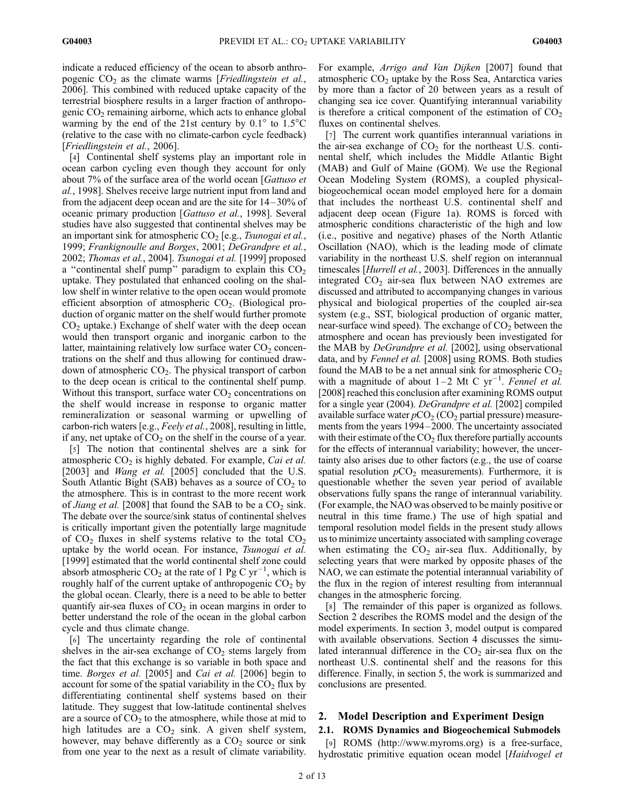indicate a reduced efficiency of the ocean to absorb anthropogenic  $CO<sub>2</sub>$  as the climate warms [*Friedlingstein et al.*, 2006]. This combined with reduced uptake capacity of the terrestrial biosphere results in a larger fraction of anthropogenic  $CO<sub>2</sub>$  remaining airborne, which acts to enhance global warming by the end of the 21st century by  $0.1^{\circ}$  to  $1.5^{\circ}$ C (relative to the case with no climate-carbon cycle feedback) [Friedlingstein et al., 2006].

[4] Continental shelf systems play an important role in ocean carbon cycling even though they account for only about 7% of the surface area of the world ocean [Gattuso et al., 1998]. Shelves receive large nutrient input from land and from the adjacent deep ocean and are the site for 14– 30% of oceanic primary production [Gattuso et al., 1998]. Several studies have also suggested that continental shelves may be an important sink for atmospheric  $CO<sub>2</sub>$  [e.g., *Tsunogai et al.*, 1999; Frankignoulle and Borges, 2001; DeGrandpre et al., 2002; Thomas et al., 2004]. Tsunogai et al. [1999] proposed a "continental shelf pump" paradigm to explain this  $CO<sub>2</sub>$ uptake. They postulated that enhanced cooling on the shallow shelf in winter relative to the open ocean would promote efficient absorption of atmospheric  $CO<sub>2</sub>$ . (Biological production of organic matter on the shelf would further promote  $CO<sub>2</sub>$  uptake.) Exchange of shelf water with the deep ocean would then transport organic and inorganic carbon to the latter, maintaining relatively low surface water  $CO<sub>2</sub>$  concentrations on the shelf and thus allowing for continued drawdown of atmospheric CO<sub>2</sub>. The physical transport of carbon to the deep ocean is critical to the continental shelf pump. Without this transport, surface water  $CO<sub>2</sub>$  concentrations on the shelf would increase in response to organic matter remineralization or seasonal warming or upwelling of carbon-rich waters [e.g., Feely et al., 2008], resulting in little, if any, net uptake of  $CO<sub>2</sub>$  on the shelf in the course of a year.

[5] The notion that continental shelves are a sink for atmospheric  $CO<sub>2</sub>$  is highly debated. For example, *Cai et al.* [2003] and *Wang et al.* [2005] concluded that the U.S. South Atlantic Bight (SAB) behaves as a source of  $CO<sub>2</sub>$  to the atmosphere. This is in contrast to the more recent work of *Jiang et al.* [2008] that found the SAB to be a  $CO<sub>2</sub>$  sink. The debate over the source/sink status of continental shelves is critically important given the potentially large magnitude of  $CO<sub>2</sub>$  fluxes in shelf systems relative to the total  $CO<sub>2</sub>$ uptake by the world ocean. For instance, Tsunogai et al. [1999] estimated that the world continental shelf zone could absorb atmospheric  $CO_2$  at the rate of 1 Pg C yr<sup>-1</sup>, which is roughly half of the current uptake of anthropogenic  $CO<sub>2</sub>$  by the global ocean. Clearly, there is a need to be able to better quantify air-sea fluxes of  $CO<sub>2</sub>$  in ocean margins in order to better understand the role of the ocean in the global carbon cycle and thus climate change.

[6] The uncertainty regarding the role of continental shelves in the air-sea exchange of  $CO<sub>2</sub>$  stems largely from the fact that this exchange is so variable in both space and time. Borges et al. [2005] and Cai et al. [2006] begin to account for some of the spatial variability in the  $CO<sub>2</sub>$  flux by differentiating continental shelf systems based on their latitude. They suggest that low-latitude continental shelves are a source of  $CO<sub>2</sub>$  to the atmosphere, while those at mid to high latitudes are a  $CO<sub>2</sub>$  sink. A given shelf system, however, may behave differently as a  $CO<sub>2</sub>$  source or sink from one year to the next as a result of climate variability.

For example, Arrigo and Van Dijken [2007] found that atmospheric  $CO<sub>2</sub>$  uptake by the Ross Sea, Antarctica varies by more than a factor of 20 between years as a result of changing sea ice cover. Quantifying interannual variability is therefore a critical component of the estimation of  $CO<sub>2</sub>$ fluxes on continental shelves.

[7] The current work quantifies interannual variations in the air-sea exchange of  $CO<sub>2</sub>$  for the northeast U.S. continental shelf, which includes the Middle Atlantic Bight (MAB) and Gulf of Maine (GOM). We use the Regional Ocean Modeling System (ROMS), a coupled physicalbiogeochemical ocean model employed here for a domain that includes the northeast U.S. continental shelf and adjacent deep ocean (Figure 1a). ROMS is forced with atmospheric conditions characteristic of the high and low (i.e., positive and negative) phases of the North Atlantic Oscillation (NAO), which is the leading mode of climate variability in the northeast U.S. shelf region on interannual timescales [*Hurrell et al.*, 2003]. Differences in the annually integrated CO<sub>2</sub> air-sea flux between NAO extremes are discussed and attributed to accompanying changes in various physical and biological properties of the coupled air-sea system (e.g., SST, biological production of organic matter, near-surface wind speed). The exchange of  $CO<sub>2</sub>$  between the atmosphere and ocean has previously been investigated for the MAB by *DeGrandpre et al.* [2002], using observational data, and by Fennel et al. [2008] using ROMS. Both studies found the MAB to be a net annual sink for atmospheric  $CO<sub>2</sub>$ with a magnitude of about  $1-2$  Mt C yr<sup>-1</sup>. Fennel et al. [2008] reached this conclusion after examining ROMS output for a single year (2004). DeGrandpre et al. [2002] compiled available surface water  $pCO<sub>2</sub> (CO<sub>2</sub> partial pressure)$  measurements from the years 1994–2000. The uncertainty associated with their estimate of the  $CO<sub>2</sub>$  flux therefore partially accounts for the effects of interannual variability; however, the uncertainty also arises due to other factors (e.g., the use of coarse spatial resolution  $pCO<sub>2</sub>$  measurements). Furthermore, it is questionable whether the seven year period of available observations fully spans the range of interannual variability. (For example, the NAO was observed to be mainly positive or neutral in this time frame.) The use of high spatial and temporal resolution model fields in the present study allows us to minimize uncertainty associated with sampling coverage when estimating the  $CO<sub>2</sub>$  air-sea flux. Additionally, by selecting years that were marked by opposite phases of the NAO, we can estimate the potential interannual variability of the flux in the region of interest resulting from interannual changes in the atmospheric forcing.

[8] The remainder of this paper is organized as follows. Section 2 describes the ROMS model and the design of the model experiments. In section 3, model output is compared with available observations. Section 4 discusses the simulated interannual difference in the  $CO<sub>2</sub>$  air-sea flux on the northeast U.S. continental shelf and the reasons for this difference. Finally, in section 5, the work is summarized and conclusions are presented.

## 2. Model Description and Experiment Design

## 2.1. ROMS Dynamics and Biogeochemical Submodels

[9] ROMS (http://www.myroms.org) is a free-surface, hydrostatic primitive equation ocean model [Haidvogel et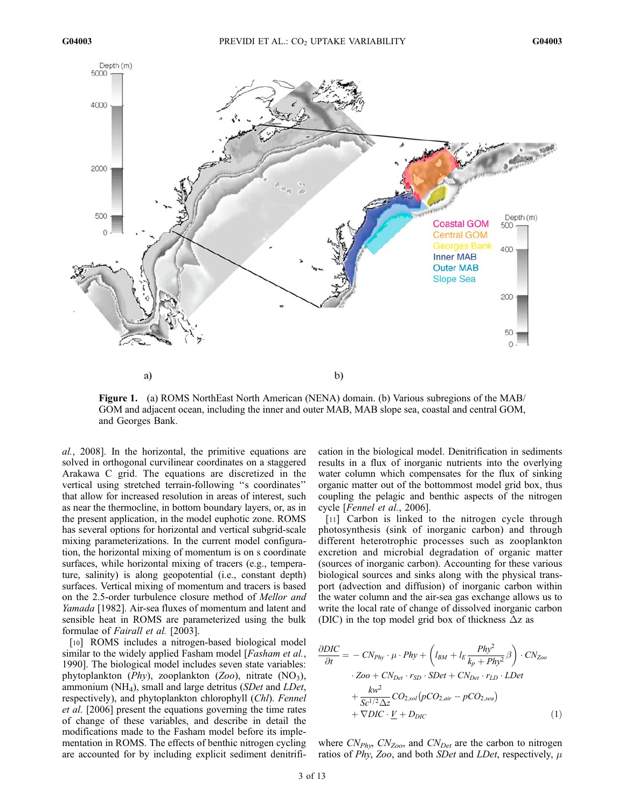

Figure 1. (a) ROMS NorthEast North American (NENA) domain. (b) Various subregions of the MAB/ GOM and adjacent ocean, including the inner and outer MAB, MAB slope sea, coastal and central GOM, and Georges Bank.

al., 2008]. In the horizontal, the primitive equations are solved in orthogonal curvilinear coordinates on a staggered Arakawa C grid. The equations are discretized in the vertical using stretched terrain-following ''s coordinates'' that allow for increased resolution in areas of interest, such as near the thermocline, in bottom boundary layers, or, as in the present application, in the model euphotic zone. ROMS has several options for horizontal and vertical subgrid-scale mixing parameterizations. In the current model configuration, the horizontal mixing of momentum is on s coordinate surfaces, while horizontal mixing of tracers (e.g., temperature, salinity) is along geopotential (i.e., constant depth) surfaces. Vertical mixing of momentum and tracers is based on the 2.5-order turbulence closure method of Mellor and Yamada [1982]. Air-sea fluxes of momentum and latent and sensible heat in ROMS are parameterized using the bulk formulae of Fairall et al. [2003].

[10] ROMS includes a nitrogen-based biological model similar to the widely applied Fasham model [*Fasham et al.*, 1990]. The biological model includes seven state variables: phytoplankton ( $Phy$ ), zooplankton (Zoo), nitrate (NO<sub>3</sub>), ammonium ( $NH<sub>4</sub>$ ), small and large detritus (*SDet* and *LDet*, respectively), and phytoplankton chlorophyll (Chl). Fennel et al. [2006] present the equations governing the time rates of change of these variables, and describe in detail the modifications made to the Fasham model before its implementation in ROMS. The effects of benthic nitrogen cycling are accounted for by including explicit sediment denitrification in the biological model. Denitrification in sediments results in a flux of inorganic nutrients into the overlying water column which compensates for the flux of sinking organic matter out of the bottommost model grid box, thus coupling the pelagic and benthic aspects of the nitrogen cycle [Fennel et al., 2006].

[11] Carbon is linked to the nitrogen cycle through photosynthesis (sink of inorganic carbon) and through different heterotrophic processes such as zooplankton excretion and microbial degradation of organic matter (sources of inorganic carbon). Accounting for these various biological sources and sinks along with the physical transport (advection and diffusion) of inorganic carbon within the water column and the air-sea gas exchange allows us to write the local rate of change of dissolved inorganic carbon (DIC) in the top model grid box of thickness  $\Delta z$  as

$$
\frac{\partial DIC}{\partial t} = - CN_{Phy} \cdot \mu \cdot Phy + \left(l_{BM} + l_E \frac{Phy^2}{k_p + Phy^2} \beta\right) \cdot CN_{Zoo}
$$

$$
\cdot Zoo + CN_{Det} \cdot r_{SD} \cdot SDet + CN_{Det} \cdot r_{LD} \cdot LDet
$$

$$
+ \frac{kw^2}{Sc^{1/2}\Delta z} CO_{2,sol}(pCO_{2,air} - pCO_{2,sea})
$$

$$
+ \nabla DIC \cdot \underline{V} + D_{DIC}
$$
(1)

where  $CN_{Phy}$ ,  $CN_{Zoo}$ , and  $CN_{Det}$  are the carbon to nitrogen ratios of Phy, Zoo, and both SDet and LDet, respectively,  $\mu$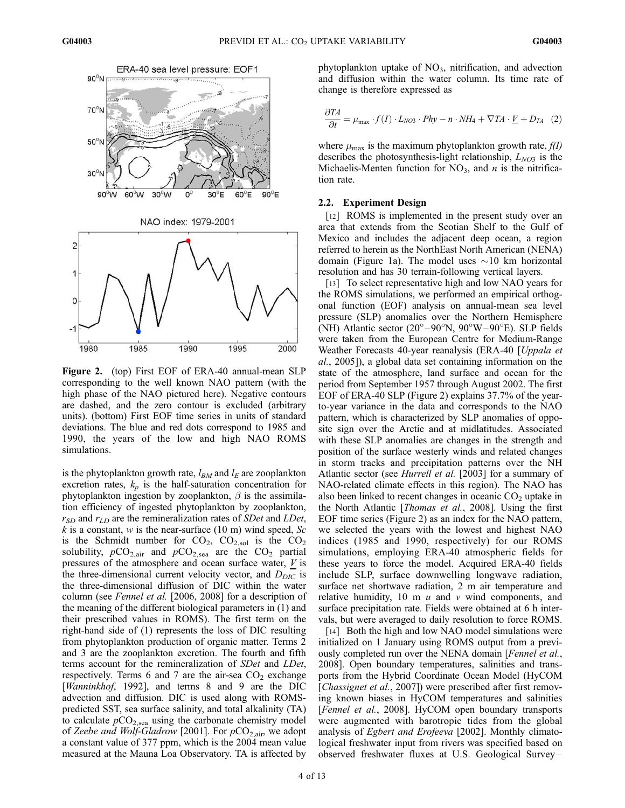

Figure 2. (top) First EOF of ERA-40 annual-mean SLP corresponding to the well known NAO pattern (with the high phase of the NAO pictured here). Negative contours are dashed, and the zero contour is excluded (arbitrary units). (bottom) First EOF time series in units of standard deviations. The blue and red dots correspond to 1985 and 1990, the years of the low and high NAO ROMS simulations.

is the phytoplankton growth rate,  $l_{BM}$  and  $l_E$  are zooplankton excretion rates,  $k_p$  is the half-saturation concentration for phytoplankton ingestion by zooplankton,  $\beta$  is the assimilation efficiency of ingested phytoplankton by zooplankton,  $r_{SD}$  and  $r_{LD}$  are the remineralization rates of *SDet* and *LDet*, k is a constant, w is the near-surface (10 m) wind speed, Sc is the Schmidt number for  $CO_2$ ,  $CO_{2,sol}$  is the  $CO_2$ solubility,  $pCO_{2,air}$  and  $pCO_{2,sea}$  are the  $CO_2$  partial pressures of the atmosphere and ocean surface water,  $V$  is the three-dimensional current velocity vector, and  $D_{DIC}$  is the three-dimensional diffusion of DIC within the water column (see Fennel et al. [2006, 2008] for a description of the meaning of the different biological parameters in (1) and their prescribed values in ROMS). The first term on the right-hand side of (1) represents the loss of DIC resulting from phytoplankton production of organic matter. Terms 2 and 3 are the zooplankton excretion. The fourth and fifth terms account for the remineralization of SDet and LDet, respectively. Terms 6 and 7 are the air-sea  $CO<sub>2</sub>$  exchange [*Wanninkhof*, 1992], and terms 8 and 9 are the DIC advection and diffusion. DIC is used along with ROMSpredicted SST, sea surface salinity, and total alkalinity (TA) to calculate  $pCO<sub>2,sea</sub>$  using the carbonate chemistry model of Zeebe and Wolf-Gladrow [2001]. For  $pCO_{2,\text{air}}$ , we adopt a constant value of 377 ppm, which is the 2004 mean value measured at the Mauna Loa Observatory. TA is affected by

phytoplankton uptake of  $NO<sub>3</sub>$ , nitrification, and advection and diffusion within the water column. Its time rate of change is therefore expressed as

$$
\frac{\partial TA}{\partial t} = \mu_{\text{max}} \cdot f(I) \cdot L_{NOS} \cdot Phy - n \cdot NH_4 + \nabla TA \cdot \underline{V} + D_{TA} \tag{2}
$$

where  $\mu_{\text{max}}$  is the maximum phytoplankton growth rate,  $f(I)$ describes the photosynthesis-light relationship,  $L_{NO3}$  is the Michaelis-Menten function for  $NO<sub>3</sub>$ , and *n* is the nitrification rate.

## 2.2. Experiment Design

[12] ROMS is implemented in the present study over an area that extends from the Scotian Shelf to the Gulf of Mexico and includes the adjacent deep ocean, a region referred to herein as the NorthEast North American (NENA) domain (Figure 1a). The model uses  $\sim$ 10 km horizontal resolution and has 30 terrain-following vertical layers.

[13] To select representative high and low NAO years for the ROMS simulations, we performed an empirical orthogonal function (EOF) analysis on annual-mean sea level pressure (SLP) anomalies over the Northern Hemisphere (NH) Atlantic sector  $(20^{\circ}-90^{\circ}N, 90^{\circ}W-90^{\circ}E)$ . SLP fields were taken from the European Centre for Medium-Range Weather Forecasts 40-year reanalysis (ERA-40 [*Uppala et* al., 2005]), a global data set containing information on the state of the atmosphere, land surface and ocean for the period from September 1957 through August 2002. The first EOF of ERA-40 SLP (Figure 2) explains 37.7% of the yearto-year variance in the data and corresponds to the NAO pattern, which is characterized by SLP anomalies of opposite sign over the Arctic and at midlatitudes. Associated with these SLP anomalies are changes in the strength and position of the surface westerly winds and related changes in storm tracks and precipitation patterns over the NH Atlantic sector (see *Hurrell et al.* [2003] for a summary of NAO-related climate effects in this region). The NAO has also been linked to recent changes in oceanic  $CO<sub>2</sub>$  uptake in the North Atlantic [Thomas et al., 2008]. Using the first EOF time series (Figure 2) as an index for the NAO pattern, we selected the years with the lowest and highest NAO indices (1985 and 1990, respectively) for our ROMS simulations, employing ERA-40 atmospheric fields for these years to force the model. Acquired ERA-40 fields include SLP, surface downwelling longwave radiation, surface net shortwave radiation, 2 m air temperature and relative humidity, 10 m  $u$  and  $v$  wind components, and surface precipitation rate. Fields were obtained at 6 h intervals, but were averaged to daily resolution to force ROMS.

[14] Both the high and low NAO model simulations were initialized on 1 January using ROMS output from a previously completed run over the NENA domain [*Fennel et al.*, 2008]. Open boundary temperatures, salinities and transports from the Hybrid Coordinate Ocean Model (HyCOM [*Chassignet et al.,* 2007]) were prescribed after first removing known biases in HyCOM temperatures and salinities [Fennel et al., 2008]. HyCOM open boundary transports were augmented with barotropic tides from the global analysis of Egbert and Erofeeva [2002]. Monthly climatological freshwater input from rivers was specified based on observed freshwater fluxes at U.S. Geological Survey –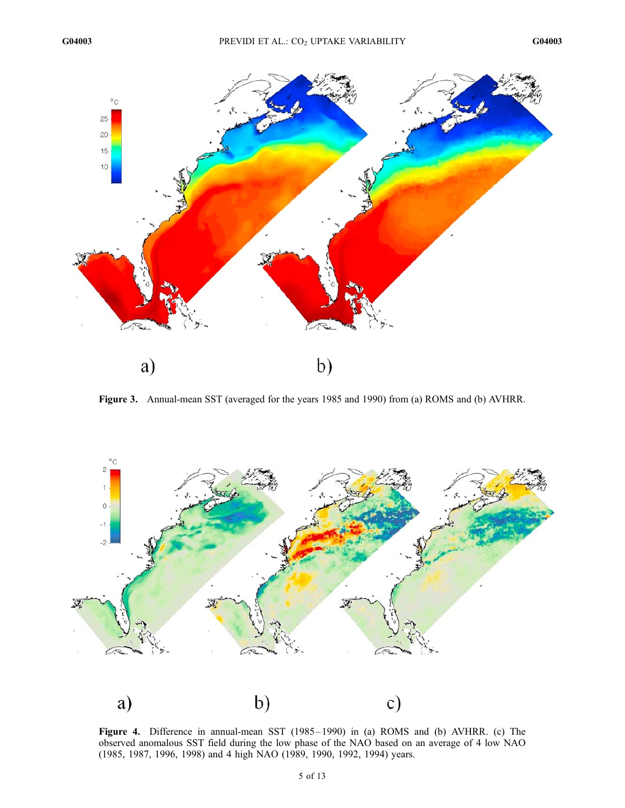

Figure 3. Annual-mean SST (averaged for the years 1985 and 1990) from (a) ROMS and (b) AVHRR.



Figure 4. Difference in annual-mean SST (1985 – 1990) in (a) ROMS and (b) AVHRR. (c) The observed anomalous SST field during the low phase of the NAO based on an average of 4 low NAO (1985, 1987, 1996, 1998) and 4 high NAO (1989, 1990, 1992, 1994) years.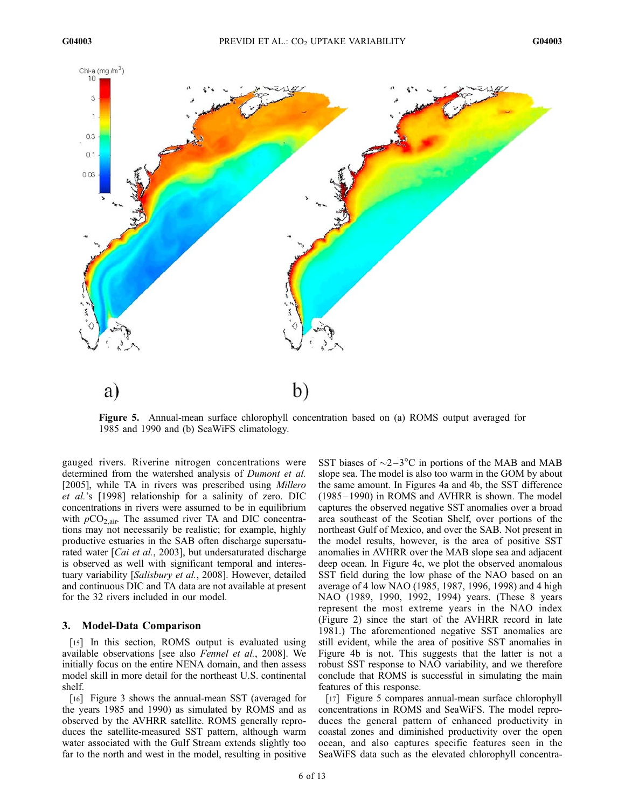

Figure 5. Annual-mean surface chlorophyll concentration based on (a) ROMS output averaged for 1985 and 1990 and (b) SeaWiFS climatology.

gauged rivers. Riverine nitrogen concentrations were determined from the watershed analysis of *Dumont et al.* [2005], while TA in rivers was prescribed using *Millero* et al.'s [1998] relationship for a salinity of zero. DIC concentrations in rivers were assumed to be in equilibrium with  $pCO<sub>2,air</sub>$ . The assumed river TA and DIC concentrations may not necessarily be realistic; for example, highly productive estuaries in the SAB often discharge supersaturated water [*Cai et al.*, 2003], but undersaturated discharge is observed as well with significant temporal and interestuary variability [Salisbury et al., 2008]. However, detailed and continuous DIC and TA data are not available at present for the 32 rivers included in our model.

### 3. Model-Data Comparison

[15] In this section, ROMS output is evaluated using available observations [see also Fennel et al., 2008]. We initially focus on the entire NENA domain, and then assess model skill in more detail for the northeast U.S. continental shelf.

[16] Figure 3 shows the annual-mean SST (averaged for the years 1985 and 1990) as simulated by ROMS and as observed by the AVHRR satellite. ROMS generally reproduces the satellite-measured SST pattern, although warm water associated with the Gulf Stream extends slightly too far to the north and west in the model, resulting in positive

SST biases of  $\sim$ 2 $-3$ °C in portions of the MAB and MAB slope sea. The model is also too warm in the GOM by about the same amount. In Figures 4a and 4b, the SST difference (1985– 1990) in ROMS and AVHRR is shown. The model captures the observed negative SST anomalies over a broad area southeast of the Scotian Shelf, over portions of the northeast Gulf of Mexico, and over the SAB. Not present in the model results, however, is the area of positive SST anomalies in AVHRR over the MAB slope sea and adjacent deep ocean. In Figure 4c, we plot the observed anomalous SST field during the low phase of the NAO based on an average of 4 low NAO (1985, 1987, 1996, 1998) and 4 high NAO (1989, 1990, 1992, 1994) years. (These 8 years represent the most extreme years in the NAO index (Figure 2) since the start of the AVHRR record in late 1981.) The aforementioned negative SST anomalies are still evident, while the area of positive SST anomalies in Figure 4b is not. This suggests that the latter is not a robust SST response to NAO variability, and we therefore conclude that ROMS is successful in simulating the main features of this response.

[17] Figure 5 compares annual-mean surface chlorophyll concentrations in ROMS and SeaWiFS. The model reproduces the general pattern of enhanced productivity in coastal zones and diminished productivity over the open ocean, and also captures specific features seen in the SeaWiFS data such as the elevated chlorophyll concentra-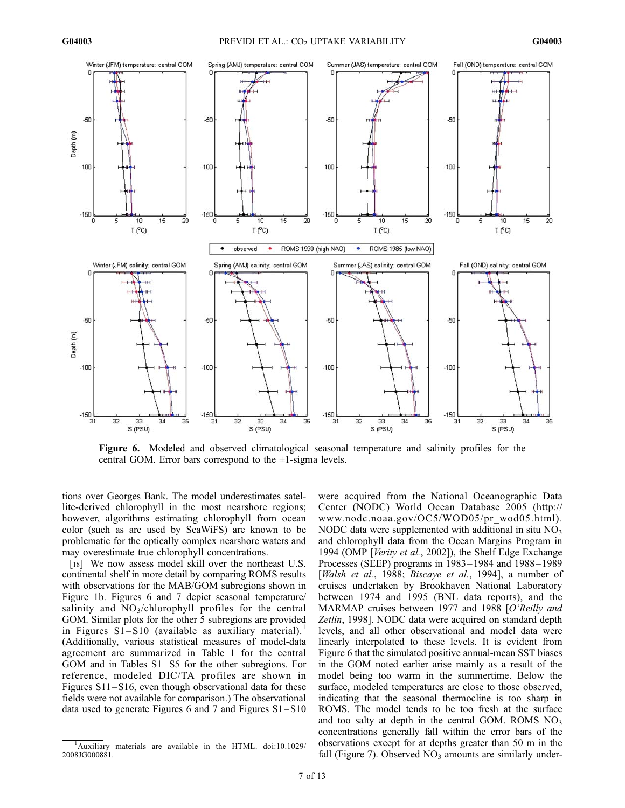

Figure 6. Modeled and observed climatological seasonal temperature and salinity profiles for the central GOM. Error bars correspond to the  $\pm 1$ -sigma levels.

tions over Georges Bank. The model underestimates satellite-derived chlorophyll in the most nearshore regions; however, algorithms estimating chlorophyll from ocean color (such as are used by SeaWiFS) are known to be problematic for the optically complex nearshore waters and may overestimate true chlorophyll concentrations.

[18] We now assess model skill over the northeast U.S. continental shelf in more detail by comparing ROMS results with observations for the MAB/GOM subregions shown in Figure 1b. Figures 6 and 7 depict seasonal temperature/ salinity and  $NO<sub>3</sub>/chlorophyll$  profiles for the central GOM. Similar plots for the other 5 subregions are provided in Figures  $S1-S10$  (available as auxiliary material).<sup>1</sup> (Additionally, various statistical measures of model-data agreement are summarized in Table 1 for the central GOM and in Tables S1 –S5 for the other subregions. For reference, modeled DIC/TA profiles are shown in Figures S11-S16, even though observational data for these fields were not available for comparison.) The observational data used to generate Figures 6 and 7 and Figures S1–S10

were acquired from the National Oceanographic Data Center (NODC) World Ocean Database 2005 (http:// www.nodc.noaa.gov/OC5/WOD05/pr\_wod05.html). NODC data were supplemented with additional in situ  $NO<sub>3</sub>$ and chlorophyll data from the Ocean Margins Program in 1994 (OMP [Verity et al., 2002]), the Shelf Edge Exchange Processes (SEEP) programs in 1983– 1984 and 1988 – 1989 [Walsh et al., 1988; Biscaye et al., 1994], a number of cruises undertaken by Brookhaven National Laboratory between 1974 and 1995 (BNL data reports), and the MARMAP cruises between 1977 and 1988 [O'Reilly and Zetlin, 1998]. NODC data were acquired on standard depth levels, and all other observational and model data were linearly interpolated to these levels. It is evident from Figure 6 that the simulated positive annual-mean SST biases in the GOM noted earlier arise mainly as a result of the model being too warm in the summertime. Below the surface, modeled temperatures are close to those observed, indicating that the seasonal thermocline is too sharp in ROMS. The model tends to be too fresh at the surface and too salty at depth in the central GOM. ROMS  $NO<sub>3</sub>$ concentrations generally fall within the error bars of the observations except for at depths greater than 50 m in the fall (Figure 7). Observed  $NO<sub>3</sub>$  amounts are similarly under-

<sup>&</sup>lt;sup>1</sup>Auxiliary materials are available in the HTML. doi:10.1029/ 2008JG000881.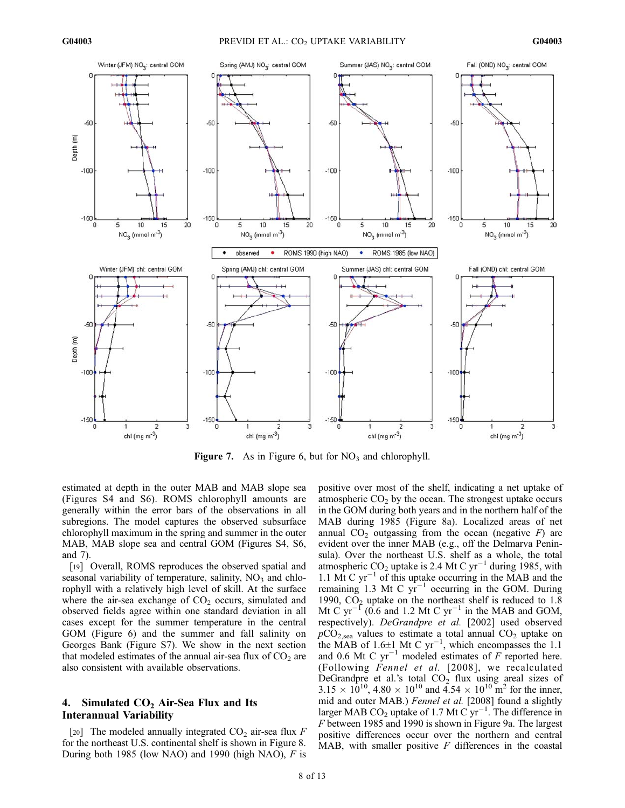

**Figure 7.** As in Figure 6, but for  $NO_3$  and chlorophyll.

estimated at depth in the outer MAB and MAB slope sea (Figures S4 and S6). ROMS chlorophyll amounts are generally within the error bars of the observations in all subregions. The model captures the observed subsurface chlorophyll maximum in the spring and summer in the outer MAB, MAB slope sea and central GOM (Figures S4, S6, and 7).

[19] Overall, ROMS reproduces the observed spatial and seasonal variability of temperature, salinity,  $NO<sub>3</sub>$  and chlorophyll with a relatively high level of skill. At the surface where the air-sea exchange of  $CO<sub>2</sub>$  occurs, simulated and observed fields agree within one standard deviation in all cases except for the summer temperature in the central GOM (Figure 6) and the summer and fall salinity on Georges Bank (Figure S7). We show in the next section that modeled estimates of the annual air-sea flux of  $CO<sub>2</sub>$  are also consistent with available observations.

## 4. Simulated  $CO<sub>2</sub>$  Air-Sea Flux and Its Interannual Variability

[20] The modeled annually integrated  $CO<sub>2</sub>$  air-sea flux F for the northeast U.S. continental shelf is shown in Figure 8. During both 1985 (low NAO) and 1990 (high NAO),  $F$  is positive over most of the shelf, indicating a net uptake of atmospheric  $CO<sub>2</sub>$  by the ocean. The strongest uptake occurs in the GOM during both years and in the northern half of the MAB during 1985 (Figure 8a). Localized areas of net annual  $CO<sub>2</sub>$  outgassing from the ocean (negative F) are evident over the inner MAB (e.g., off the Delmarva Peninsula). Over the northeast U.S. shelf as a whole, the total atmospheric  $CO_2$  uptake is 2.4 Mt C yr<sup>-1</sup> during 1985, with 1.1  $\overline{M}$ t C yr<sup>-1</sup> of this uptake occurring in the MAB and the remaining 1.3 Mt C  $yr^{-1}$  occurring in the GOM. During 1990,  $CO<sub>2</sub>$  uptake on the northeast shelf is reduced to 1.8 Mt C  $yr^{-1}$  (0.6 and 1.2 Mt C  $yr^{-1}$  in the MAB and GOM, respectively). DeGrandpre et al. [2002] used observed  $pCO<sub>2,sea</sub>$  values to estimate a total annual  $CO<sub>2</sub>$  uptake on the MAB of 1.6 $\pm$ 1 Mt C yr<sup>-1</sup>, which encompasses the 1.1 and 0.6 Mt C  $yr^{-1}$  modeled estimates of F reported here. (Following Fennel et al. [2008], we recalculated DeGrandpre et al.'s total  $CO<sub>2</sub>$  flux using areal sizes of  $3.15 \times 10^{10}$ ,  $4.80 \times 10^{10}$  and  $4.54 \times 10^{10}$  m<sup>2</sup> for the inner, mid and outer MAB.) Fennel et al. [2008] found a slightly larger MAB CO<sub>2</sub> uptake of 1.7 Mt C  $yr^{-1}$ . The difference in F between 1985 and 1990 is shown in Figure 9a. The largest positive differences occur over the northern and central MAB, with smaller positive  $F$  differences in the coastal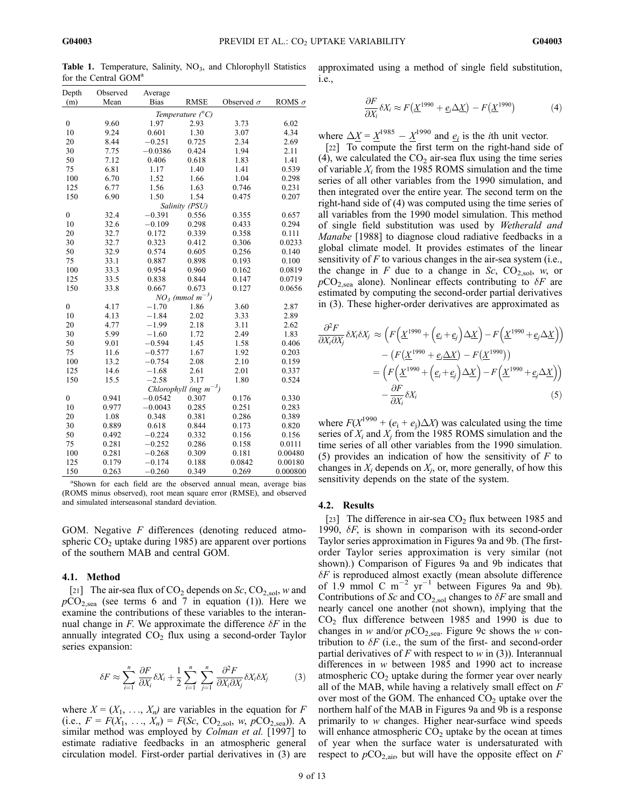Table 1. Temperature, Salinity, NO<sub>3</sub>, and Chlorophyll Statistics for the Central GOM<sup>a</sup>

| Depth            | Observed | Average     |                               |                   |               |
|------------------|----------|-------------|-------------------------------|-------------------|---------------|
| (m)              | Mean     | <b>Bias</b> | <b>RMSE</b>                   | Observed $\sigma$ | ROMS $\sigma$ |
|                  |          |             | Temperature $\binom{6}{C}$    |                   |               |
| $\boldsymbol{0}$ | 9.60     | 1.97        | 2.93                          | 3.73              | 6.02          |
| 10               | 9.24     | 0.601       | 1.30                          | 3.07              | 4.34          |
| 20               | 8.44     | $-0.251$    | 0.725                         | 2.34              | 2.69          |
| 30               | 7.75     | $-0.0386$   | 0.424                         | 1.94              | 2.11          |
| 50               | 7.12     | 0.406       | 0.618                         | 1.83              | 1.41          |
| 75               | 6.81     | 1.17        | 1.40                          | 1.41              | 0.539         |
| 100              | 6.70     | 1.52        | 1.66                          | 1.04              | 0.298         |
| 125              | 6.77     | 1.56        | 1.63                          | 0.746             | 0.231         |
| 150              | 6.90     | 1.50        | 1.54                          | 0.475             | 0.207         |
|                  |          |             | Salinity (PSU)                |                   |               |
| $\boldsymbol{0}$ | 32.4     | $-0.391$    | 0.556                         | 0.355             | 0.657         |
| 10               | 32.6     | $-0.109$    | 0.298                         | 0.433             | 0.294         |
| 20               | 32.7     | 0.172       | 0.339                         | 0.358             | 0.111         |
| 30               | 32.7     | 0.323       | 0.412                         | 0.306             | 0.0233        |
| 50               | 32.9     | 0.574       | 0.605                         | 0.256             | 0.140         |
| 75               | 33.1     | 0.887       | 0.898                         | 0.193             | 0.100         |
| 100              | 33.3     | 0.954       | 0.960                         | 0.162             | 0.0819        |
| 125              | 33.5     | 0.838       | 0.844                         | 0.147             | 0.0719        |
| 150              | 33.8     | 0.667       | 0.673                         | 0.127             | 0.0656        |
|                  |          |             | $NO3$ (mmol m <sup>-3</sup> ) |                   |               |
| $\boldsymbol{0}$ | 4.17     | $-1.70$     | 1.86                          | 3.60              | 2.87          |
| 10               | 4.13     | $-1.84$     | 2.02                          | 3.33              | 2.89          |
| 20               | 4.77     | $-1.99$     | 2.18                          | 3.11              | 2.62          |
| 30               | 5.99     | $-1.60$     | 1.72                          | 2.49              | 1.83          |
| 50               | 9.01     | $-0.594$    | 1.45                          | 1.58              | 0.406         |
| 75               | 11.6     | $-0.577$    | 1.67                          | 1.92              | 0.203         |
| 100              | 13.2     | $-0.754$    | 2.08                          | 2.10              | 0.159         |
| 125              | 14.6     | $-1.68$     | 2.61                          | 2.01              | 0.337         |
| 150              | 15.5     | $-2.58$     | 3.17                          | 1.80              | 0.524         |
|                  |          |             | Chlorophyll (mg $m^{-3}$ )    |                   |               |
| $\boldsymbol{0}$ | 0.941    | $-0.0542$   | 0.307                         | 0.176             | 0.330         |
| 10               | 0.977    | $-0.0043$   | 0.285                         | 0.251             | 0.283         |
| 20               | 1.08     | 0.348       | 0.381                         | 0.286             | 0.389         |
| 30               | 0.889    | 0.618       | 0.844                         | 0.173             | 0.820         |
| 50               | 0.492    | $-0.224$    | 0.332                         | 0.156             | 0.156         |
| 75               | 0.281    | $-0.252$    | 0.286                         | 0.158             | 0.0111        |
| 100              | 0.281    | $-0.268$    | 0.309                         | 0.181             | 0.00480       |
| 125              | 0.179    | $-0.174$    | 0.188                         | 0.0842            | 0.00180       |
| 150              | 0.263    | $-0.260$    | 0.349                         | 0.269             | 0.000800      |

a Shown for each field are the observed annual mean, average bias (ROMS minus observed), root mean square error (RMSE), and observed and simulated interseasonal standard deviation.

GOM. Negative F differences (denoting reduced atmospheric  $CO<sub>2</sub>$  uptake during 1985) are apparent over portions of the southern MAB and central GOM.

#### 4.1. Method

[21] The air-sea flux of  $CO_2$  depends on  $Sc$ ,  $CO_{2,sol}$ , w and  $pCO<sub>2,sea</sub>$  (see terms 6 and 7 in equation (1)). Here we examine the contributions of these variables to the interannual change in F. We approximate the difference  $\delta F$  in the annually integrated  $CO<sub>2</sub>$  flux using a second-order Taylor series expansion:

$$
\delta F \approx \sum_{i=1}^{n} \frac{\partial F}{\partial X_i} \delta X_i + \frac{1}{2} \sum_{i=1}^{n} \sum_{j=1}^{n} \frac{\partial^2 F}{\partial X_i \partial X_j} \delta X_i \delta X_j \tag{3}
$$

where  $X = (X_1, \ldots, X_n)$  are variables in the equation for F (i.e.,  $F = F(X_1, ..., X_n) = F(Sc, CO_{2,sol}, w, pCO_{2,sea})$ ). A similar method was employed by *Colman et al.* [1997] to estimate radiative feedbacks in an atmospheric general circulation model. First-order partial derivatives in (3) are G04003

approximated using a method of single field substitution, i.e.,

$$
\frac{\partial F}{\partial X_i} \delta X_i \approx F(\underline{X}^{1990} + \underline{e}_i \Delta \underline{X}) - F(\underline{X}^{1990})
$$
(4)

where  $\Delta \underline{X} = \underline{X}^{1985} - \underline{X}^{1990}$  and  $\underline{e_i}$  is the *i*th unit vector.

[22] To compute the first term on the right-hand side of (4), we calculated the  $CO<sub>2</sub>$  air-sea flux using the time series of variable  $X_i$  from the 1985 ROMS simulation and the time series of all other variables from the 1990 simulation, and then integrated over the entire year. The second term on the right-hand side of (4) was computed using the time series of all variables from the 1990 model simulation. This method of single field substitution was used by Wetherald and Manabe [1988] to diagnose cloud radiative feedbacks in a global climate model. It provides estimates of the linear sensitivity of  $F$  to various changes in the air-sea system (i.e., the change in F due to a change in Sc,  $CO_{2,\text{sol}}$ , w, or  $pCO<sub>2,sea</sub>$  alone). Nonlinear effects contributing to  $\delta F$  are estimated by computing the second-order partial derivatives in (3). These higher-order derivatives are approximated as

$$
\frac{\partial^2 F}{\partial X_i \partial X_j} \delta X_i \delta X_j \approx \left( F \left( \underline{X}^{1990} + \left( \underline{e}_i + \underline{e}_j \right) \Delta \underline{X} \right) - F \left( \underline{X}^{1990} + \underline{e}_j \Delta \underline{X} \right) \right) - \left( F \left( \underline{X}^{1990} + \underline{e}_i \Delta \underline{X} \right) - F \left( \underline{X}^{1990} \right) \right) = \left( F \left( \underline{X}^{1990} + \left( \underline{e}_i + \underline{e}_j \right) \Delta \underline{X} \right) - F \left( \underline{X}^{1990} + \underline{e}_j \Delta \underline{X} \right) \right) - \frac{\partial F}{\partial X_i} \delta X_i \tag{5}
$$

where  $F(X^{1990} + (e_i + e_j) \Delta X)$  was calculated using the time series of  $X_i$  and  $X_j$  from the 1985 ROMS simulation and the time series of all other variables from the 1990 simulation. (5) provides an indication of how the sensitivity of  $F$  to changes in  $X_i$  depends on  $X_i$ , or, more generally, of how this sensitivity depends on the state of the system.

#### 4.2. Results

[23] The difference in air-sea  $CO<sub>2</sub>$  flux between 1985 and 1990,  $\delta F$ , is shown in comparison with its second-order Taylor series approximation in Figures 9a and 9b. (The firstorder Taylor series approximation is very similar (not shown).) Comparison of Figures 9a and 9b indicates that  $\delta F$  is reproduced almost exactly (mean absolute difference of 1.9 mmol C  $m^{-2}$  yr<sup>-1</sup> between Figures 9a and 9b). Contributions of Sc and  $CO<sub>2,sol</sub>$  changes to  $\delta F$  are small and nearly cancel one another (not shown), implying that the  $CO<sub>2</sub>$  flux difference between 1985 and 1990 is due to changes in w and/or  $pCO<sub>2,sea</sub>$ . Figure 9c shows the w contribution to  $\delta F$  (i.e., the sum of the first- and second-order partial derivatives of F with respect to w in (3)). Interannual differences in w between 1985 and 1990 act to increase atmospheric  $CO<sub>2</sub>$  uptake during the former year over nearly all of the MAB, while having a relatively small effect on  $F$ over most of the GOM. The enhanced  $CO<sub>2</sub>$  uptake over the northern half of the MAB in Figures 9a and 9b is a response primarily to w changes. Higher near-surface wind speeds will enhance atmospheric  $CO<sub>2</sub>$  uptake by the ocean at times of year when the surface water is undersaturated with respect to  $pCO<sub>2,air</sub>$ , but will have the opposite effect on F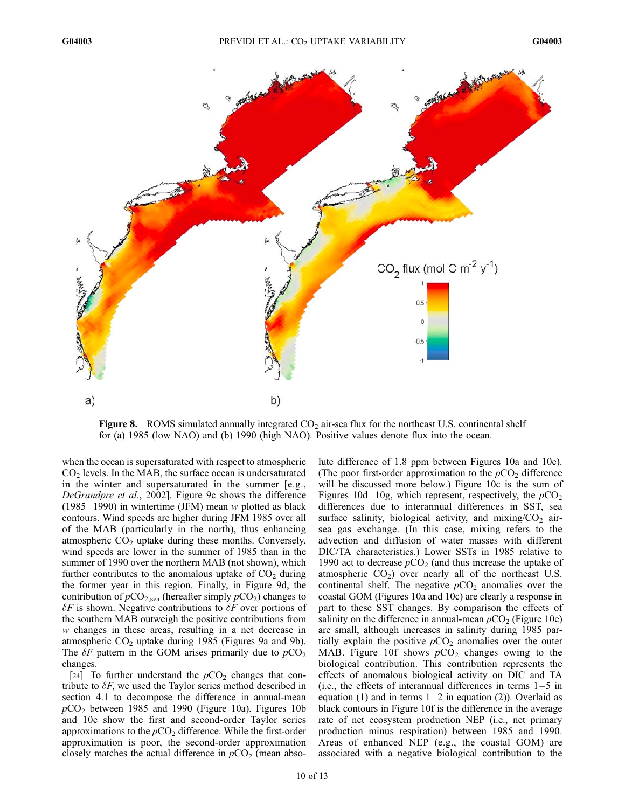

**Figure 8.** ROMS simulated annually integrated  $CO<sub>2</sub>$  air-sea flux for the northeast U.S. continental shelf for (a) 1985 (low NAO) and (b) 1990 (high NAO). Positive values denote flux into the ocean.

when the ocean is supersaturated with respect to atmospheric  $CO<sub>2</sub>$  levels. In the MAB, the surface ocean is undersaturated in the winter and supersaturated in the summer [e.g., DeGrandpre et al., 2002]. Figure 9c shows the difference  $(1985 - 1990)$  in wintertime (JFM) mean w plotted as black contours. Wind speeds are higher during JFM 1985 over all of the MAB (particularly in the north), thus enhancing atmospheric  $CO<sub>2</sub>$  uptake during these months. Conversely, wind speeds are lower in the summer of 1985 than in the summer of 1990 over the northern MAB (not shown), which further contributes to the anomalous uptake of  $CO<sub>2</sub>$  during the former year in this region. Finally, in Figure 9d, the contribution of  $pCO<sub>2,sea</sub>$  (hereafter simply  $pCO<sub>2</sub>$ ) changes to  $\delta F$  is shown. Negative contributions to  $\delta F$  over portions of the southern MAB outweigh the positive contributions from w changes in these areas, resulting in a net decrease in atmospheric  $CO<sub>2</sub>$  uptake during 1985 (Figures 9a and 9b). The  $\delta F$  pattern in the GOM arises primarily due to  $pCO<sub>2</sub>$ changes.

[24] To further understand the  $pCO<sub>2</sub>$  changes that contribute to  $\delta F$ , we used the Taylor series method described in section 4.1 to decompose the difference in annual-mean  $pCO<sub>2</sub>$  between 1985 and 1990 (Figure 10a). Figures 10b and 10c show the first and second-order Taylor series approximations to the  $pCO<sub>2</sub>$  difference. While the first-order approximation is poor, the second-order approximation closely matches the actual difference in  $pCO<sub>2</sub>$  (mean abso-

lute difference of 1.8 ppm between Figures 10a and 10c). (The poor first-order approximation to the  $pCO<sub>2</sub>$  difference will be discussed more below.) Figure 10c is the sum of Figures  $10d-10g$ , which represent, respectively, the  $pCO<sub>2</sub>$ differences due to interannual differences in SST, sea surface salinity, biological activity, and mixing/ $CO<sub>2</sub>$  airsea gas exchange. (In this case, mixing refers to the advection and diffusion of water masses with different DIC/TA characteristics.) Lower SSTs in 1985 relative to 1990 act to decrease  $pCO<sub>2</sub>$  (and thus increase the uptake of atmospheric  $CO<sub>2</sub>$ ) over nearly all of the northeast U.S. continental shelf. The negative  $pCO<sub>2</sub>$  anomalies over the coastal GOM (Figures 10a and 10c) are clearly a response in part to these SST changes. By comparison the effects of salinity on the difference in annual-mean  $pCO<sub>2</sub>$  (Figure 10e) are small, although increases in salinity during 1985 partially explain the positive  $pCO<sub>2</sub>$  anomalies over the outer MAB. Figure 10f shows  $pCO<sub>2</sub>$  changes owing to the biological contribution. This contribution represents the effects of anomalous biological activity on DIC and TA (i.e., the effects of interannual differences in terms  $1-5$  in equation (1) and in terms  $1-2$  in equation (2)). Overlaid as black contours in Figure 10f is the difference in the average rate of net ecosystem production NEP (i.e., net primary production minus respiration) between 1985 and 1990. Areas of enhanced NEP (e.g., the coastal GOM) are associated with a negative biological contribution to the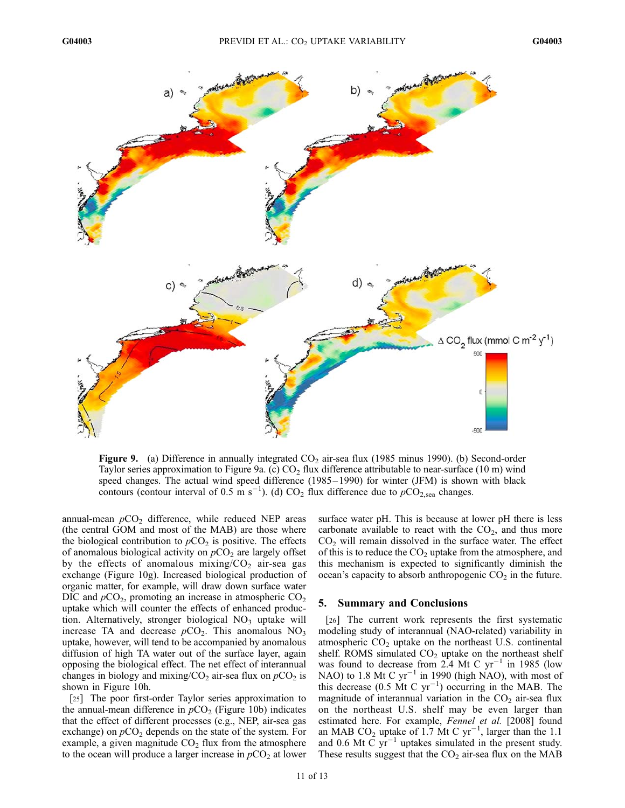

Figure 9. (a) Difference in annually integrated  $CO<sub>2</sub>$  air-sea flux (1985 minus 1990). (b) Second-order Taylor series approximation to Figure 9a. (c)  $CO<sub>2</sub>$  flux difference attributable to near-surface (10 m) wind speed changes. The actual wind speed difference (1985–1990) for winter (JFM) is shown with black contours (contour interval of 0.5 m s<sup>-1</sup>). (d) CO<sub>2</sub> flux difference due to  $pCO<sub>2,sea</sub>$  changes.

annual-mean  $pCO<sub>2</sub>$  difference, while reduced NEP areas (the central GOM and most of the MAB) are those where the biological contribution to  $pCO<sub>2</sub>$  is positive. The effects of anomalous biological activity on  $pCO<sub>2</sub>$  are largely offset by the effects of anomalous mixing/ $CO<sub>2</sub>$  air-sea gas exchange (Figure 10g). Increased biological production of organic matter, for example, will draw down surface water DIC and  $pCO_2$ , promoting an increase in atmospheric  $CO_2$ uptake which will counter the effects of enhanced production. Alternatively, stronger biological  $NO<sub>3</sub>$  uptake will increase TA and decrease  $pCO<sub>2</sub>$ . This anomalous NO<sub>3</sub> uptake, however, will tend to be accompanied by anomalous diffusion of high TA water out of the surface layer, again opposing the biological effect. The net effect of interannual changes in biology and mixing/ $CO<sub>2</sub>$  air-sea flux on  $pCO<sub>2</sub>$  is shown in Figure 10h.

[25] The poor first-order Taylor series approximation to the annual-mean difference in  $pCO<sub>2</sub>$  (Figure 10b) indicates that the effect of different processes (e.g., NEP, air-sea gas exchange) on  $pCO<sub>2</sub>$  depends on the state of the system. For example, a given magnitude  $CO<sub>2</sub>$  flux from the atmosphere to the ocean will produce a larger increase in  $pCO<sub>2</sub>$  at lower

surface water pH. This is because at lower pH there is less carbonate available to react with the  $CO<sub>2</sub>$ , and thus more  $CO<sub>2</sub>$  will remain dissolved in the surface water. The effect of this is to reduce the  $CO<sub>2</sub>$  uptake from the atmosphere, and this mechanism is expected to significantly diminish the ocean's capacity to absorb anthropogenic  $CO<sub>2</sub>$  in the future.

### 5. Summary and Conclusions

[26] The current work represents the first systematic modeling study of interannual (NAO-related) variability in atmospheric  $CO<sub>2</sub>$  uptake on the northeast U.S. continental shelf. ROMS simulated  $CO<sub>2</sub>$  uptake on the northeast shelf was found to decrease from 2.4 Mt C  $yr^{-1}$  in 1985 (low NAO) to 1.8 Mt C  $yr^{-1}$  in 1990 (high NAO), with most of this decrease (0.5 Mt C  $yr^{-1}$ ) occurring in the MAB. The magnitude of interannual variation in the  $CO<sub>2</sub>$  air-sea flux on the northeast U.S. shelf may be even larger than estimated here. For example, Fennel et al. [2008] found an MAB  $CO_2$  uptake of 1.7 Mt C  $yr^{-1}$ , larger than the 1.1 and 0.6 Mt  $\tilde{C}$  yr<sup>-1</sup> uptakes simulated in the present study. These results suggest that the  $CO<sub>2</sub>$  air-sea flux on the MAB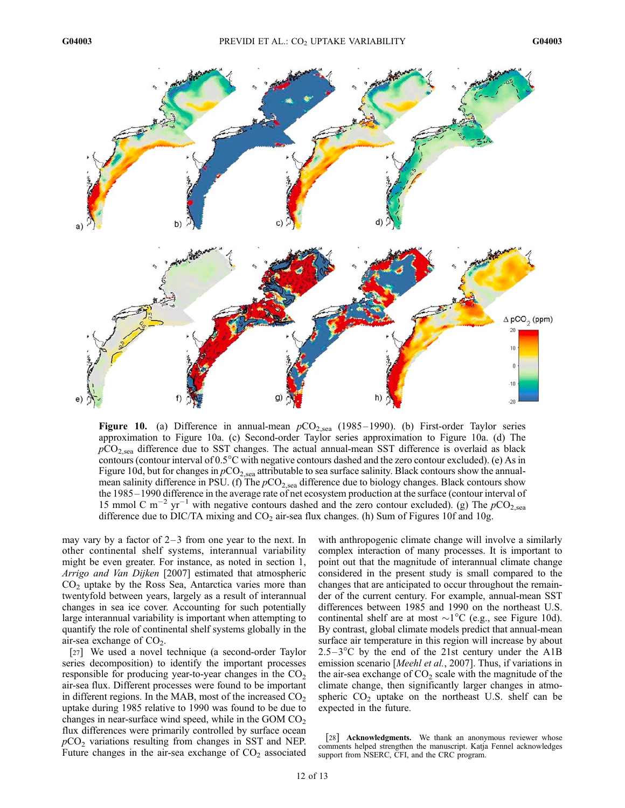

**Figure 10.** (a) Difference in annual-mean  $pCO_{2,\text{sea}}$  (1985–1990). (b) First-order Taylor series approximation to Figure 10a. (c) Second-order Taylor series approximation to Figure 10a. (d) The  $pCO<sub>2,sea</sub>$  difference due to SST changes. The actual annual-mean SST difference is overlaid as black contours (contour interval of 0.5<sup>o</sup>C with negative contours dashed and the zero contour excluded). (e) As in Figure 10d, but for changes in  $pCO<sub>2,sea</sub>$  attributable to sea surface salinity. Black contours show the annualmean salinity difference in PSU. (f) The  $pCO<sub>2,sea</sub>$  difference due to biology changes. Black contours show the 1985 – 1990 difference in the average rate of net ecosystem production at the surface (contour interval of 15 mmol C m<sup>-2</sup> yr<sup>-1</sup> with negative contours dashed and the zero contour excluded). (g) The  $pCO<sub>2,sea</sub>$ difference due to DIC/TA mixing and  $CO_2$  air-sea flux changes. (h) Sum of Figures 10f and 10g.

may vary by a factor of  $2-3$  from one year to the next. In other continental shelf systems, interannual variability might be even greater. For instance, as noted in section 1, Arrigo and Van Dijken [2007] estimated that atmospheric  $CO<sub>2</sub>$  uptake by the Ross Sea, Antarctica varies more than twentyfold between years, largely as a result of interannual changes in sea ice cover. Accounting for such potentially large interannual variability is important when attempting to quantify the role of continental shelf systems globally in the air-sea exchange of  $CO<sub>2</sub>$ .

[27] We used a novel technique (a second-order Taylor series decomposition) to identify the important processes responsible for producing year-to-year changes in the  $CO<sub>2</sub>$ air-sea flux. Different processes were found to be important in different regions. In the MAB, most of the increased  $CO<sub>2</sub>$ uptake during 1985 relative to 1990 was found to be due to changes in near-surface wind speed, while in the GOM  $CO<sub>2</sub>$ flux differences were primarily controlled by surface ocean  $pCO<sub>2</sub>$  variations resulting from changes in SST and NEP. Future changes in the air-sea exchange of  $CO<sub>2</sub>$  associated

with anthropogenic climate change will involve a similarly complex interaction of many processes. It is important to point out that the magnitude of interannual climate change considered in the present study is small compared to the changes that are anticipated to occur throughout the remainder of the current century. For example, annual-mean SST differences between 1985 and 1990 on the northeast U.S. continental shelf are at most  $\sim$ 1<sup>o</sup>C (e.g., see Figure 10d). By contrast, global climate models predict that annual-mean surface air temperature in this region will increase by about  $2.5-3$ <sup>o</sup>C by the end of the 21st century under the A1B emission scenario [Meehl et al., 2007]. Thus, if variations in the air-sea exchange of  $CO<sub>2</sub>$  scale with the magnitude of the climate change, then significantly larger changes in atmospheric  $CO<sub>2</sub>$  uptake on the northeast U.S. shelf can be expected in the future.

[28] **Acknowledgments.** We thank an anonymous reviewer whose comments helped strengthen the manuscript. Katja Fennel acknowledges support from NSERC, CFI, and the CRC program.